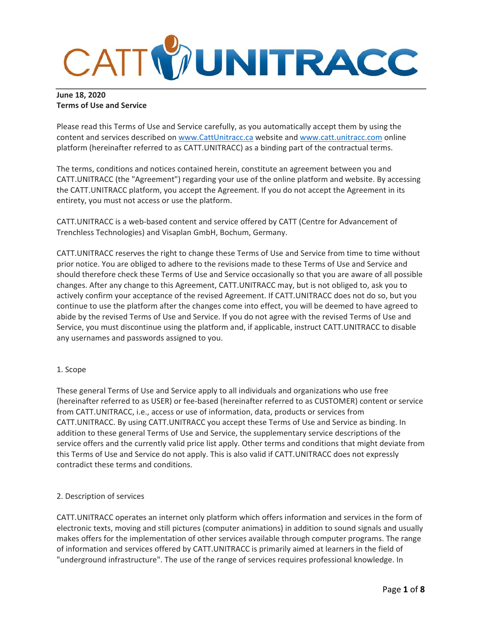

## **June 18, 2020 Terms of Use and Service**

Please read this Terms of Use and Service carefully, as you automatically accept them by using the content and services described on www.CattUnitracc.ca website and www.catt.unitracc.com online platform (hereinafter referred to as CATT.UNITRACC) as a binding part of the contractual terms.

The terms, conditions and notices contained herein, constitute an agreement between you and CATT.UNITRACC (the "Agreement") regarding your use of the online platform and website. By accessing the CATT.UNITRACC platform, you accept the Agreement. If you do not accept the Agreement in its entirety, you must not access or use the platform.

CATT.UNITRACC is a web‐based content and service offered by CATT (Centre for Advancement of Trenchless Technologies) and Visaplan GmbH, Bochum, Germany.

CATT.UNITRACC reserves the right to change these Terms of Use and Service from time to time without prior notice. You are obliged to adhere to the revisions made to these Terms of Use and Service and should therefore check these Terms of Use and Service occasionally so that you are aware of all possible changes. After any change to this Agreement, CATT.UNITRACC may, but is not obliged to, ask you to actively confirm your acceptance of the revised Agreement. If CATT.UNITRACC does not do so, but you continue to use the platform after the changes come into effect, you will be deemed to have agreed to abide by the revised Terms of Use and Service. If you do not agree with the revised Terms of Use and Service, you must discontinue using the platform and, if applicable, instruct CATT.UNITRACC to disable any usernames and passwords assigned to you.

## 1. Scope

These general Terms of Use and Service apply to all individuals and organizations who use free (hereinafter referred to as USER) or fee‐based (hereinafter referred to as CUSTOMER) content or service from CATT.UNITRACC, i.e., access or use of information, data, products or services from CATT.UNITRACC. By using CATT.UNITRACC you accept these Terms of Use and Service as binding. In addition to these general Terms of Use and Service, the supplementary service descriptions of the service offers and the currently valid price list apply. Other terms and conditions that might deviate from this Terms of Use and Service do not apply. This is also valid if CATT.UNITRACC does not expressly contradict these terms and conditions.

## 2. Description of services

CATT.UNITRACC operates an internet only platform which offers information and services in the form of electronic texts, moving and still pictures (computer animations) in addition to sound signals and usually makes offers for the implementation of other services available through computer programs. The range of information and services offered by CATT.UNITRACC is primarily aimed at learners in the field of "underground infrastructure". The use of the range of services requires professional knowledge. In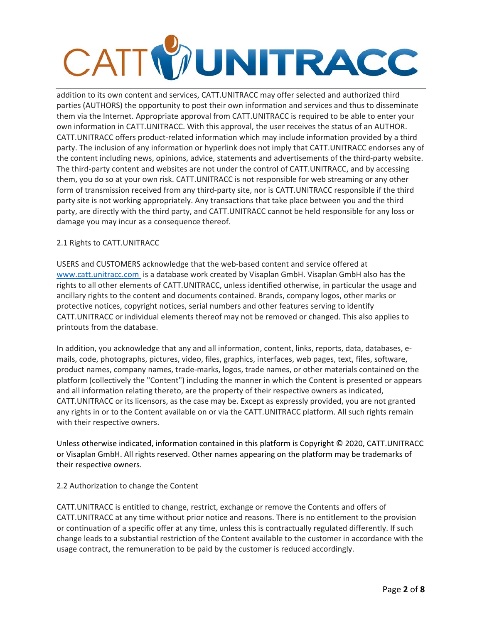# CATTWUNITRACC

addition to its own content and services, CATT.UNITRACC may offer selected and authorized third parties (AUTHORS) the opportunity to post their own information and services and thus to disseminate them via the Internet. Appropriate approval from CATT.UNITRACC is required to be able to enter your own information in CATT.UNITRACC. With this approval, the user receives the status of an AUTHOR. CATT.UNITRACC offers product‐related information which may include information provided by a third party. The inclusion of any information or hyperlink does not imply that CATT.UNITRACC endorses any of the content including news, opinions, advice, statements and advertisements of the third‐party website. The third-party content and websites are not under the control of CATT.UNITRACC, and by accessing them, you do so at your own risk. CATT.UNITRACC is not responsible for web streaming or any other form of transmission received from any third-party site, nor is CATT.UNITRACC responsible if the third party site is not working appropriately. Any transactions that take place between you and the third party, are directly with the third party, and CATT.UNITRACC cannot be held responsible for any loss or damage you may incur as a consequence thereof.

## 2.1 Rights to CATT.UNITRACC

USERS and CUSTOMERS acknowledge that the web‐based content and service offered at www.catt.unitracc.com is a database work created by Visaplan GmbH. Visaplan GmbH also has the rights to all other elements of CATT.UNITRACC, unless identified otherwise, in particular the usage and ancillary rights to the content and documents contained. Brands, company logos, other marks or protective notices, copyright notices, serial numbers and other features serving to identify CATT.UNITRACC or individual elements thereof may not be removed or changed. This also applies to printouts from the database.

In addition, you acknowledge that any and all information, content, links, reports, data, databases, e‐ mails, code, photographs, pictures, video, files, graphics, interfaces, web pages, text, files, software, product names, company names, trade‐marks, logos, trade names, or other materials contained on the platform (collectively the "Content") including the manner in which the Content is presented or appears and all information relating thereto, are the property of their respective owners as indicated, CATT.UNITRACC or its licensors, as the case may be. Except as expressly provided, you are not granted any rights in or to the Content available on or via the CATT.UNITRACC platform. All such rights remain with their respective owners.

Unless otherwise indicated, information contained in this platform is Copyright © 2020, CATT.UNITRACC or Visaplan GmbH. All rights reserved. Other names appearing on the platform may be trademarks of their respective owners.

## 2.2 Authorization to change the Content

CATT.UNITRACC is entitled to change, restrict, exchange or remove the Contents and offers of CATT.UNITRACC at any time without prior notice and reasons. There is no entitlement to the provision or continuation of a specific offer at any time, unless this is contractually regulated differently. If such change leads to a substantial restriction of the Content available to the customer in accordance with the usage contract, the remuneration to be paid by the customer is reduced accordingly.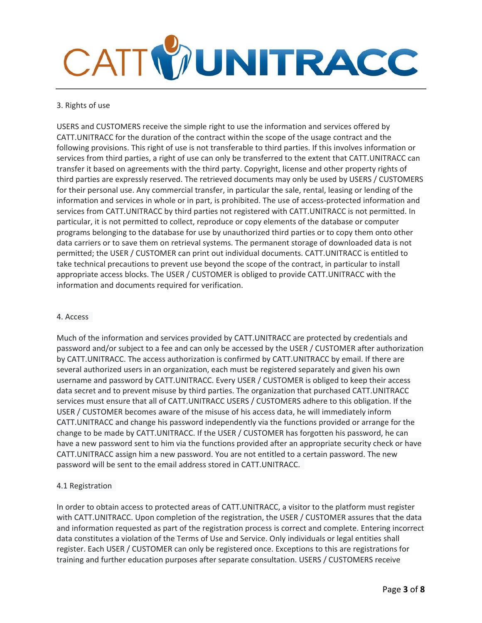

## 3. Rights of use

USERS and CUSTOMERS receive the simple right to use the information and services offered by CATT.UNITRACC for the duration of the contract within the scope of the usage contract and the following provisions. This right of use is not transferable to third parties. If this involves information or services from third parties, a right of use can only be transferred to the extent that CATT.UNITRACC can transfer it based on agreements with the third party. Copyright, license and other property rights of third parties are expressly reserved. The retrieved documents may only be used by USERS / CUSTOMERS for their personal use. Any commercial transfer, in particular the sale, rental, leasing or lending of the information and services in whole or in part, is prohibited. The use of access-protected information and services from CATT.UNITRACC by third parties not registered with CATT.UNITRACC is not permitted. In particular, it is not permitted to collect, reproduce or copy elements of the database or computer programs belonging to the database for use by unauthorized third parties or to copy them onto other data carriers or to save them on retrieval systems. The permanent storage of downloaded data is not permitted; the USER / CUSTOMER can print out individual documents. CATT.UNITRACC is entitled to take technical precautions to prevent use beyond the scope of the contract, in particular to install appropriate access blocks. The USER / CUSTOMER is obliged to provide CATT.UNITRACC with the information and documents required for verification.

## 4. Access

Much of the information and services provided by CATT.UNITRACC are protected by credentials and password and/or subject to a fee and can only be accessed by the USER / CUSTOMER after authorization by CATT.UNITRACC. The access authorization is confirmed by CATT.UNITRACC by email. If there are several authorized users in an organization, each must be registered separately and given his own username and password by CATT.UNITRACC. Every USER / CUSTOMER is obliged to keep their access data secret and to prevent misuse by third parties. The organization that purchased CATT.UNITRACC services must ensure that all of CATT.UNITRACC USERS / CUSTOMERS adhere to this obligation. If the USER / CUSTOMER becomes aware of the misuse of his access data, he will immediately inform CATT.UNITRACC and change his password independently via the functions provided or arrange for the change to be made by CATT.UNITRACC. If the USER / CUSTOMER has forgotten his password, he can have a new password sent to him via the functions provided after an appropriate security check or have CATT.UNITRACC assign him a new password. You are not entitled to a certain password. The new password will be sent to the email address stored in CATT.UNITRACC.

## 4.1 Registration

In order to obtain access to protected areas of CATT.UNITRACC, a visitor to the platform must register with CATT.UNITRACC. Upon completion of the registration, the USER / CUSTOMER assures that the data and information requested as part of the registration process is correct and complete. Entering incorrect data constitutes a violation of the Terms of Use and Service. Only individuals or legal entities shall register. Each USER / CUSTOMER can only be registered once. Exceptions to this are registrations for training and further education purposes after separate consultation. USERS / CUSTOMERS receive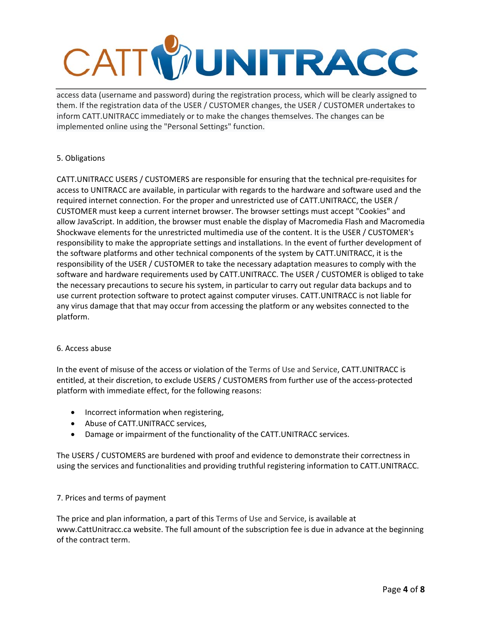## CATTWUNITRACC

access data (username and password) during the registration process, which will be clearly assigned to them. If the registration data of the USER / CUSTOMER changes, the USER / CUSTOMER undertakes to inform CATT.UNITRACC immediately or to make the changes themselves. The changes can be implemented online using the "Personal Settings" function.

## 5. Obligations

CATT.UNITRACC USERS / CUSTOMERS are responsible for ensuring that the technical pre‐requisites for access to UNITRACC are available, in particular with regards to the hardware and software used and the required internet connection. For the proper and unrestricted use of CATT.UNITRACC, the USER / CUSTOMER must keep a current internet browser. The browser settings must accept "Cookies" and allow JavaScript. In addition, the browser must enable the display of Macromedia Flash and Macromedia Shockwave elements for the unrestricted multimedia use of the content. It is the USER / CUSTOMER's responsibility to make the appropriate settings and installations. In the event of further development of the software platforms and other technical components of the system by CATT.UNITRACC, it is the responsibility of the USER / CUSTOMER to take the necessary adaptation measures to comply with the software and hardware requirements used by CATT.UNITRACC. The USER / CUSTOMER is obliged to take the necessary precautions to secure his system, in particular to carry out regular data backups and to use current protection software to protect against computer viruses. CATT.UNITRACC is not liable for any virus damage that that may occur from accessing the platform or any websites connected to the platform.

## 6. Access abuse

In the event of misuse of the access or violation of the Terms of Use and Service, CATT.UNITRACC is entitled, at their discretion, to exclude USERS / CUSTOMERS from further use of the access-protected platform with immediate effect, for the following reasons:

- Incorrect information when registering,
- Abuse of CATT.UNITRACC services,
- Damage or impairment of the functionality of the CATT.UNITRACC services.

The USERS / CUSTOMERS are burdened with proof and evidence to demonstrate their correctness in using the services and functionalities and providing truthful registering information to CATT.UNITRACC.

## 7. Prices and terms of payment

The price and plan information, a part of this Terms of Use and Service, is available at www.CattUnitracc.ca website. The full amount of the subscription fee is due in advance at the beginning of the contract term.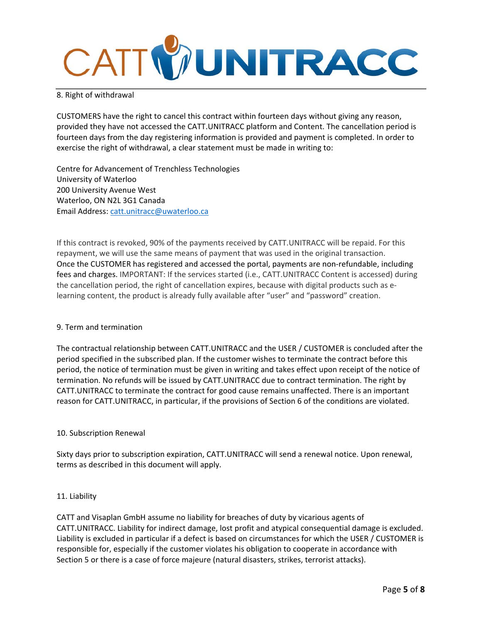

#### 8. Right of withdrawal

CUSTOMERS have the right to cancel this contract within fourteen days without giving any reason, provided they have not accessed the CATT.UNITRACC platform and Content. The cancellation period is fourteen days from the day registering information is provided and payment is completed. In order to exercise the right of withdrawal, a clear statement must be made in writing to:

Centre for Advancement of Trenchless Technologies University of Waterloo 200 University Avenue West Waterloo, ON N2L 3G1 Canada Email Address: catt.unitracc@uwaterloo.ca

If this contract is revoked, 90% of the payments received by CATT.UNITRACC will be repaid. For this repayment, we will use the same means of payment that was used in the original transaction. Once the CUSTOMER has registered and accessed the portal, payments are non‐refundable, including fees and charges. IMPORTANT: If the services started (i.e., CATT.UNITRACC Content is accessed) during the cancellation period, the right of cancellation expires, because with digital products such as e‐ learning content, the product is already fully available after "user" and "password" creation.

#### 9. Term and termination

The contractual relationship between CATT.UNITRACC and the USER / CUSTOMER is concluded after the period specified in the subscribed plan. If the customer wishes to terminate the contract before this period, the notice of termination must be given in writing and takes effect upon receipt of the notice of termination. No refunds will be issued by CATT.UNITRACC due to contract termination. The right by CATT.UNITRACC to terminate the contract for good cause remains unaffected. There is an important reason for CATT.UNITRACC, in particular, if the provisions of Section 6 of the conditions are violated.

#### 10. Subscription Renewal

Sixty days prior to subscription expiration, CATT.UNITRACC will send a renewal notice. Upon renewal, terms as described in this document will apply.

#### 11. Liability

CATT and Visaplan GmbH assume no liability for breaches of duty by vicarious agents of CATT.UNITRACC. Liability for indirect damage, lost profit and atypical consequential damage is excluded. Liability is excluded in particular if a defect is based on circumstances for which the USER / CUSTOMER is responsible for, especially if the customer violates his obligation to cooperate in accordance with Section 5 or there is a case of force majeure (natural disasters, strikes, terrorist attacks).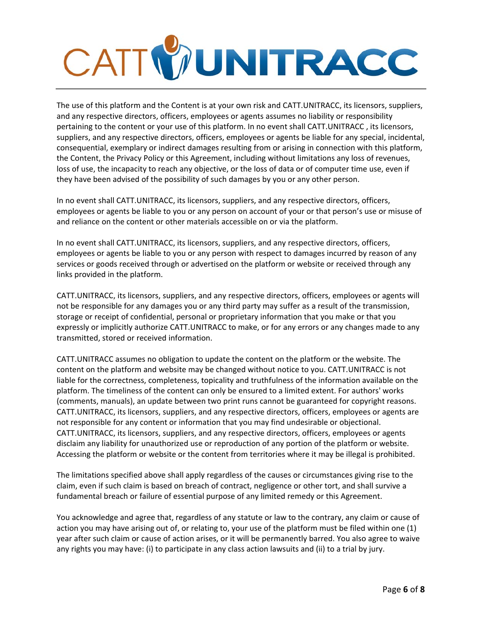

The use of this platform and the Content is at your own risk and CATT.UNITRACC, its licensors, suppliers, and any respective directors, officers, employees or agents assumes no liability or responsibility pertaining to the content or your use of this platform. In no event shall CATT.UNITRACC , its licensors, suppliers, and any respective directors, officers, employees or agents be liable for any special, incidental, consequential, exemplary or indirect damages resulting from or arising in connection with this platform, the Content, the Privacy Policy or this Agreement, including without limitations any loss of revenues, loss of use, the incapacity to reach any objective, or the loss of data or of computer time use, even if they have been advised of the possibility of such damages by you or any other person.

In no event shall CATT.UNITRACC, its licensors, suppliers, and any respective directors, officers, employees or agents be liable to you or any person on account of your or that person's use or misuse of and reliance on the content or other materials accessible on or via the platform.

In no event shall CATT.UNITRACC, its licensors, suppliers, and any respective directors, officers, employees or agents be liable to you or any person with respect to damages incurred by reason of any services or goods received through or advertised on the platform or website or received through any links provided in the platform.

CATT.UNITRACC, its licensors, suppliers, and any respective directors, officers, employees or agents will not be responsible for any damages you or any third party may suffer as a result of the transmission, storage or receipt of confidential, personal or proprietary information that you make or that you expressly or implicitly authorize CATT.UNITRACC to make, or for any errors or any changes made to any transmitted, stored or received information.

CATT.UNITRACC assumes no obligation to update the content on the platform or the website. The content on the platform and website may be changed without notice to you. CATT.UNITRACC is not liable for the correctness, completeness, topicality and truthfulness of the information available on the platform. The timeliness of the content can only be ensured to a limited extent. For authors' works (comments, manuals), an update between two print runs cannot be guaranteed for copyright reasons. CATT.UNITRACC, its licensors, suppliers, and any respective directors, officers, employees or agents are not responsible for any content or information that you may find undesirable or objectional. CATT.UNITRACC, its licensors, suppliers, and any respective directors, officers, employees or agents disclaim any liability for unauthorized use or reproduction of any portion of the platform or website. Accessing the platform or website or the content from territories where it may be illegal is prohibited.

The limitations specified above shall apply regardless of the causes or circumstances giving rise to the claim, even if such claim is based on breach of contract, negligence or other tort, and shall survive a fundamental breach or failure of essential purpose of any limited remedy or this Agreement.

You acknowledge and agree that, regardless of any statute or law to the contrary, any claim or cause of action you may have arising out of, or relating to, your use of the platform must be filed within one (1) year after such claim or cause of action arises, or it will be permanently barred. You also agree to waive any rights you may have: (i) to participate in any class action lawsuits and (ii) to a trial by jury.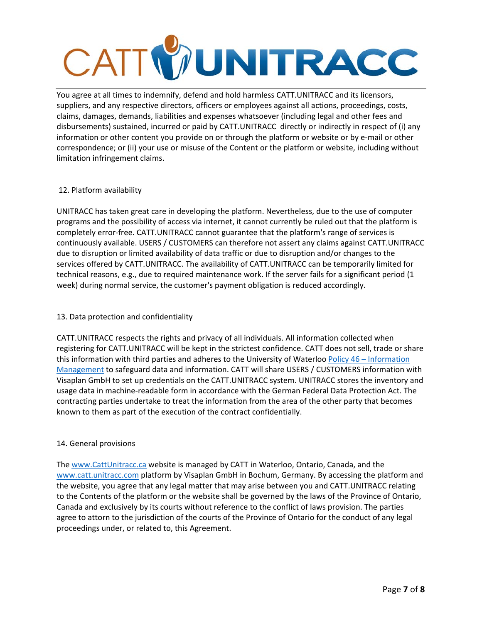## CATTWUNITRACC

You agree at all times to indemnify, defend and hold harmless CATT.UNITRACC and its licensors, suppliers, and any respective directors, officers or employees against all actions, proceedings, costs, claims, damages, demands, liabilities and expenses whatsoever (including legal and other fees and disbursements) sustained, incurred or paid by CATT.UNITRACC directly or indirectly in respect of (i) any information or other content you provide on or through the platform or website or by e-mail or other correspondence; or (ii) your use or misuse of the Content or the platform or website, including without limitation infringement claims.

## 12. Platform availability

UNITRACC has taken great care in developing the platform. Nevertheless, due to the use of computer programs and the possibility of access via internet, it cannot currently be ruled out that the platform is completely error‐free. CATT.UNITRACC cannot guarantee that the platform's range of services is continuously available. USERS / CUSTOMERS can therefore not assert any claims against CATT.UNITRACC due to disruption or limited availability of data traffic or due to disruption and/or changes to the services offered by CATT.UNITRACC. The availability of CATT.UNITRACC can be temporarily limited for technical reasons, e.g., due to required maintenance work. If the server fails for a significant period (1 week) during normal service, the customer's payment obligation is reduced accordingly.

## 13. Data protection and confidentiality

CATT.UNITRACC respects the rights and privacy of all individuals. All information collected when registering for CATT.UNITRACC will be kept in the strictest confidence. CATT does not sell, trade or share this information with third parties and adheres to the University of Waterloo Policy 46 – Information Management to safeguard data and information. CATT will share USERS / CUSTOMERS information with Visaplan GmbH to set up credentials on the CATT.UNITRACC system. UNITRACC stores the inventory and usage data in machine‐readable form in accordance with the German Federal Data Protection Act. The contracting parties undertake to treat the information from the area of the other party that becomes known to them as part of the execution of the contract confidentially.

## 14. General provisions

The www.CattUnitracc.ca website is managed by CATT in Waterloo, Ontario, Canada, and the www.catt.unitracc.com platform by Visaplan GmbH in Bochum, Germany. By accessing the platform and the website, you agree that any legal matter that may arise between you and CATT.UNITRACC relating to the Contents of the platform or the website shall be governed by the laws of the Province of Ontario, Canada and exclusively by its courts without reference to the conflict of laws provision. The parties agree to attorn to the jurisdiction of the courts of the Province of Ontario for the conduct of any legal proceedings under, or related to, this Agreement.